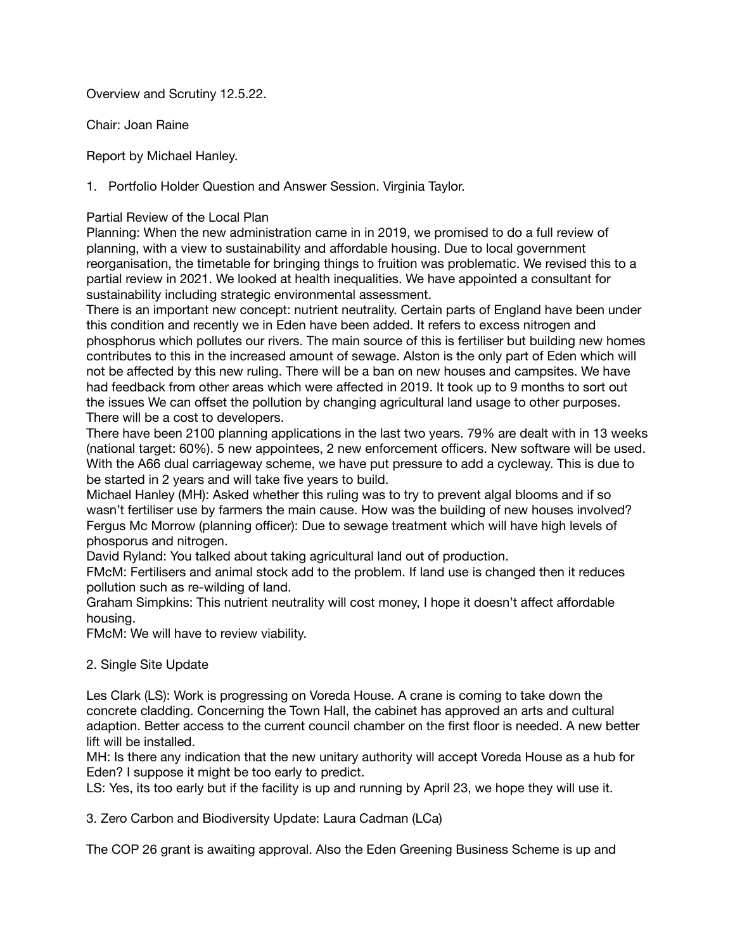Overview and Scrutiny 12.5.22.

Chair: Joan Raine

Report by Michael Hanley.

1. Portfolio Holder Question and Answer Session. Virginia Taylor.

## Partial Review of the Local Plan

Planning: When the new administration came in in 2019, we promised to do a full review of planning, with a view to sustainability and affordable housing. Due to local government reorganisation, the timetable for bringing things to fruition was problematic. We revised this to a partial review in 2021. We looked at health inequalities. We have appointed a consultant for sustainability including strategic environmental assessment.

There is an important new concept: nutrient neutrality. Certain parts of England have been under this condition and recently we in Eden have been added. It refers to excess nitrogen and phosphorus which pollutes our rivers. The main source of this is fertiliser but building new homes contributes to this in the increased amount of sewage. Alston is the only part of Eden which will not be affected by this new ruling. There will be a ban on new houses and campsites. We have had feedback from other areas which were affected in 2019. It took up to 9 months to sort out the issues We can offset the pollution by changing agricultural land usage to other purposes. There will be a cost to developers.

There have been 2100 planning applications in the last two years. 79% are dealt with in 13 weeks (national target: 60%). 5 new appointees, 2 new enforcement officers. New software will be used. With the A66 dual carriageway scheme, we have put pressure to add a cycleway. This is due to be started in 2 years and will take five years to build.

Michael Hanley (MH): Asked whether this ruling was to try to prevent algal blooms and if so wasn't fertiliser use by farmers the main cause. How was the building of new houses involved? Fergus Mc Morrow (planning officer): Due to sewage treatment which will have high levels of phosporus and nitrogen.

David Ryland: You talked about taking agricultural land out of production.

FMcM: Fertilisers and animal stock add to the problem. If land use is changed then it reduces pollution such as re-wilding of land.

Graham Simpkins: This nutrient neutrality will cost money, I hope it doesn't affect affordable housing.

FMcM: We will have to review viability.

## 2. Single Site Update

Les Clark (LS): Work is progressing on Voreda House. A crane is coming to take down the concrete cladding. Concerning the Town Hall, the cabinet has approved an arts and cultural adaption. Better access to the current council chamber on the first floor is needed. A new better lift will be installed.

MH: Is there any indication that the new unitary authority will accept Voreda House as a hub for Eden? I suppose it might be too early to predict.

LS: Yes, its too early but if the facility is up and running by April 23, we hope they will use it.

3. Zero Carbon and Biodiversity Update: Laura Cadman (LCa)

The COP 26 grant is awaiting approval. Also the Eden Greening Business Scheme is up and